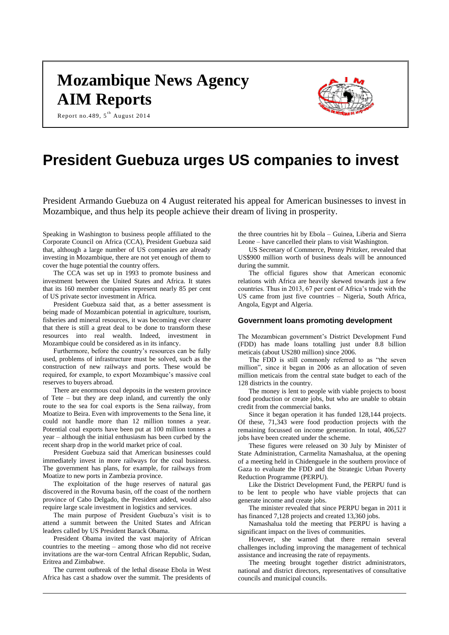# **Mozambique News Agency AIM Reports**

Report no.489, 5<sup>th</sup> August 2014



# **President Guebuza urges US companies to invest**

President Armando Guebuza on 4 August reiterated his appeal for American businesses to invest in Mozambique, and thus help its people achieve their dream of living in prosperity.

Speaking in Washington to business people affiliated to the Corporate Council on Africa (CCA), President Guebuza said that, although a large number of US companies are already investing in Mozambique, there are not yet enough of them to cover the huge potential the country offers.

The CCA was set up in 1993 to promote business and investment between the United States and Africa. It states that its 160 member companies represent nearly 85 per cent of US private sector investment in Africa.

President Guebuza said that, as a better assessment is being made of Mozambican potential in agriculture, tourism, fisheries and mineral resources, it was becoming ever clearer that there is still a great deal to be done to transform these resources into real wealth. Indeed, investment in Mozambique could be considered as in its infancy.

Furthermore, before the country's resources can be fully used, problems of infrastructure must be solved, such as the construction of new railways and ports. These would be required, for example, to export Mozambique's massive coal reserves to buyers abroad.

There are enormous coal deposits in the western province of Tete – but they are deep inland, and currently the only route to the sea for coal exports is the Sena railway, from Moatize to Beira. Even with improvements to the Sena line, it could not handle more than 12 million tonnes a year. Potential coal exports have been put at 100 million tonnes a year – although the initial enthusiasm has been curbed by the recent sharp drop in the world market price of coal.

President Guebuza said that American businesses could immediately invest in more railways for the coal business. The government has plans, for example, for railways from Moatize to new ports in Zambezia province.

The exploitation of the huge reserves of natural gas discovered in the Rovuma basin, off the coast of the northern province of Cabo Delgado, the President added, would also require large scale investment in logistics and services.

The main purpose of President Guebuza's visit is to attend a summit between the United States and African leaders called by US President Barack Obama.

President Obama invited the vast majority of African countries to the meeting – among those who did not receive invitations are the war-torn Central African Republic, Sudan, Eritrea and Zimbabwe.

The current outbreak of the lethal disease Ebola in West Africa has cast a shadow over the summit. The presidents of the three countries hit by Ebola – Guinea, Liberia and Sierra Leone – have cancelled their plans to visit Washington.

US Secretary of Commerce, Penny Pritzker, revealed that US\$900 million worth of business deals will be announced during the summit.

The official figures show that American economic relations with Africa are heavily skewed towards just a few countries. Thus in 2013, 67 per cent of Africa's trade with the US came from just five countries – Nigeria, South Africa, Angola, Egypt and Algeria.

#### **Government loans promoting development**

The Mozambican government's District Development Fund (FDD) has made loans totalling just under 8.8 billion meticais (about US280 million) since 2006.

The FDD is still commonly referred to as "the seven million", since it began in 2006 as an allocation of seven million meticais from the central state budget to each of the 128 districts in the country.

The money is lent to people with viable projects to boost food production or create jobs, but who are unable to obtain credit from the commercial banks.

Since it began operation it has funded 128,144 projects. Of these, 71,343 were food production projects with the remaining focussed on income generation. In total, 406,527 jobs have been created under the scheme.

These figures were released on 30 July by Minister of State Administration, Carmelita Namashalua, at the opening of a meeting held in Chidenguele in the southern province of Gaza to evaluate the FDD and the Strategic Urban Poverty Reduction Programme (PERPU).

Like the District Development Fund, the PERPU fund is to be lent to people who have viable projects that can generate income and create jobs.

The minister revealed that since PERPU began in 2011 it has financed 7,128 projects and created 13,360 jobs.

Namashalua told the meeting that PERPU is having a significant impact on the lives of communities.

However, she warned that there remain several challenges including improving the management of technical assistance and increasing the rate of repayments.

The meeting brought together district administrators, national and district directors, representatives of consultative councils and municipal councils.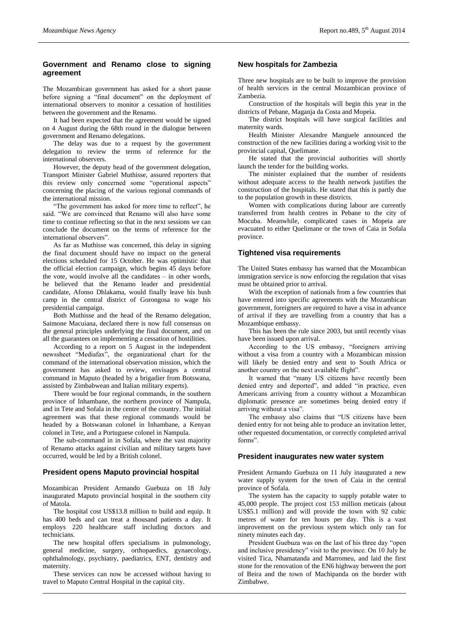# **Government and Renamo close to signing agreement**

The Mozambican government has asked for a short pause before signing a "final document" on the deployment of international observers to monitor a cessation of hostilities between the government and the Renamo.

It had been expected that the agreement would be signed on 4 August during the 68th round in the dialogue between government and Renamo delegations.

The delay was due to a request by the government delegation to review the terms of reference for the international observers.

However, the deputy head of the government delegation, Transport Minister Gabriel Muthisse, assured reporters that this review only concerned some "operational aspects" concerning the placing of the various regional commands of the international mission.

"The government has asked for more time to reflect", he said. "We are convinced that Renamo will also have some time to continue reflecting so that in the next sessions we can conclude the document on the terms of reference for the international observers".

As far as Muthisse was concerned, this delay in signing the final document should have no impact on the general elections scheduled for 15 October. He was optimistic that the official election campaign, which begins  $4\overline{5}$  days before the vote, would involve all the candidates – in other words, he believed that the Renamo leader and presidential candidate, Afonso Dhlakama, would finally leave his bush camp in the central district of Gorongosa to wage his presidential campaign.

Both Muthisse and the head of the Renamo delegation, Saimone Macuiana, declared there is now full consensus on the general principles underlying the final document, and on all the guarantees on implementing a cessation of hostilities.

According to a report on 5 August in the independent newssheet "Mediafax", the organizational chart for the command of the international observation mission, which the government has asked to review, envisages a central command in Maputo (headed by a brigadier from Botswana, assisted by Zimbabwean and Italian military experts).

There would be four regional commands, in the southern province of Inhambane, the northern province of Nampula, and in Tete and Sofala in the centre of the country. The initial agreement was that these regional commands would be headed by a Botswanan colonel in Inhambane, a Kenyan colonel in Tete, and a Portuguese colonel in Nampula.

The sub-command in in Sofala, where the vast majority of Renamo attacks against civilian and military targets have occurred, would be led by a British colonel.

#### **President opens Maputo provincial hospital**

Mozambican President Armando Guebuza on 18 July inaugurated Maputo provincial hospital in the southern city of Matola.

The hospital cost US\$13.8 million to build and equip. It has 400 beds and can treat a thousand patients a day. It employs 220 healthcare staff including doctors and technicians.

The new hospital offers specialisms in pulmonology, general medicine, surgery, orthopaedics, gynaecology, ophthalmology, psychiatry, paediatrics, ENT, dentistry and maternity.

These services can now be accessed without having to travel to Maputo Central Hospital in the capital city.

## **New hospitals for Zambezia**

Three new hospitals are to be built to improve the provision of health services in the central Mozambican province of Zambezia.

Construction of the hospitals will begin this year in the districts of Pebane, Maganja da Costa and Mopeia.

The district hospitals will have surgical facilities and maternity wards.

Health Minister Alexandre Manguele announced the construction of the new facilities during a working visit to the provincial capital, Quelimane.

He stated that the provincial authorities will shortly launch the tender for the building works.

The minister explained that the number of residents without adequate access to the health network justifies the construction of the hospitals. He stated that this is partly due to the population growth in these districts.

Women with complications during labour are currently transferred from health centres in Pebane to the city of Mocuba. Meanwhile, complicated cases in Mopeia are evacuated to either Quelimane or the town of Caia in Sofala province.

## **Tightened visa requirements**

The United States embassy has warned that the Mozambican immigration service is now enforcing the regulation that visas must be obtained prior to arrival.

With the exception of nationals from a few countries that have entered into specific agreements with the Mozambican government, foreigners are required to have a visa in advance of arrival if they are travelling from a country that has a Mozambique embassy.

This has been the rule since 2003, but until recently visas have been issued upon arrival.

According to the US embassy, "foreigners arriving without a visa from a country with a Mozambican mission will likely be denied entry and sent to South Africa or another country on the next available flight".

It warned that "many US citizens have recently been denied entry and deported", and added "in practice, even Americans arriving from a country without a Mozambican diplomatic presence are sometimes being denied entry if arriving without a visa".

The embassy also claims that "US citizens have been denied entry for not being able to produce an invitation letter, other requested documentation, or correctly completed arrival forms".

#### **President inaugurates new water system**

President Armando Guebuza on 11 July inaugurated a new water supply system for the town of Caia in the central province of Sofala.

The system has the capacity to supply potable water to 45,000 people. The project cost 153 million meticais (about US\$5.1 million) and will provide the town with 92 cubic metres of water for ten hours per day. This is a vast improvement on the previous system which only ran for ninety minutes each day.

President Guebuza was on the last of his three day "open and inclusive presidency" visit to the province. On 10 July he visited Tica, Nhamatanda and Marromeu, and laid the first stone for the renovation of the EN6 highway between the port of Beira and the town of Machipanda on the border with Zimbabwe.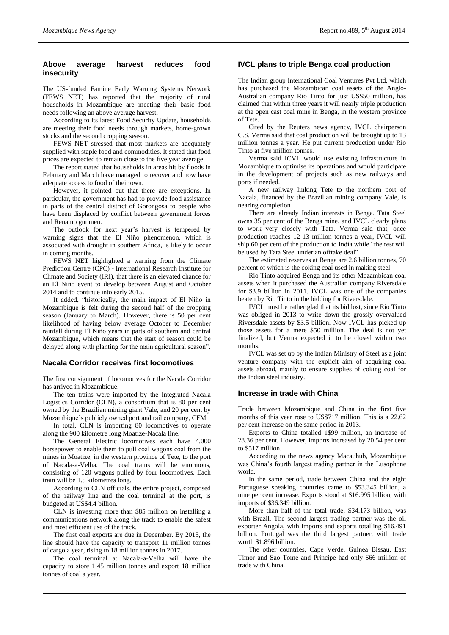# **Above average harvest reduces food insecurity**

The US-funded Famine Early Warning Systems Network (FEWS NET) has reported that the majority of rural households in Mozambique are meeting their basic food needs following an above average harvest.

According to its latest Food Security Update, households are meeting their food needs through markets, home-grown stocks and the second cropping season.

FEWS NET stressed that most markets are adequately supplied with staple food and commodities. It stated that food prices are expected to remain close to the five year average.

The report stated that households in areas hit by floods in February and March have managed to recover and now have adequate access to food of their own.

However, it pointed out that there are exceptions. In particular, the government has had to provide food assistance in parts of the central district of Gorongosa to people who have been displaced by conflict between government forces and Renamo gunmen.

The outlook for next year's harvest is tempered by warning signs that the El Niño phenomenon, which is associated with drought in southern Africa, is likely to occur in coming months.

FEWS NET highlighted a warning from the Climate Prediction Centre (CPC) - International Research Institute for Climate and Society (IRI), that there is an elevated chance for an El Niño event to develop between August and October 2014 and to continue into early 2015.

It added, "historically, the main impact of El Niño in Mozambique is felt during the second half of the cropping season (January to March). However, there is 50 per cent likelihood of having below average October to December rainfall during El Niño years in parts of southern and central Mozambique, which means that the start of season could be delayed along with planting for the main agricultural season".

# **Nacala Corridor receives first locomotives**

The first consignment of locomotives for the Nacala Corridor has arrived in Mozambique.

The ten trains were imported by the Integrated Nacala Logistics Corridor (CLN), a consortium that is 80 per cent owned by the Brazilian mining giant Vale, and 20 per cent by Mozambique's publicly owned port and rail company, CFM.

In total, CLN is importing 80 locomotives to operate along the 900 kilometre long Moatize-Nacala line.

The General Electric locomotives each have 4,000 horsepower to enable them to pull coal wagons coal from the mines in Moatize, in the western province of Tete, to the port of Nacala-a-Velha. The coal trains will be enormous, consisting of 120 wagons pulled by four locomotives. Each train will be 1.5 kilometres long.

According to CLN officials, the entire project, composed of the railway line and the coal terminal at the port, is budgeted at US\$4.4 billion.

CLN is investing more than \$85 million on installing a communications network along the track to enable the safest and most efficient use of the track.

The first coal exports are due in December. By 2015, the line should have the capacity to transport 11 million tonnes of cargo a year, rising to 18 million tonnes in 2017.

The coal terminal at Nacala-a-Velha will have the capacity to store 1.45 million tonnes and export 18 million tonnes of coal a year.

# **IVCL plans to triple Benga coal production**

The Indian group International Coal Ventures Pvt Ltd, which has purchased the Mozambican coal assets of the Anglo-Australian company Rio Tinto for just US\$50 million, has claimed that within three years it will nearly triple production at the open cast coal mine in Benga, in the western province of Tete.

Cited by the Reuters news agency, IVCL chairperson C.S. Verma said that coal production will be brought up to 13 million tonnes a year. He put current production under Rio Tinto at five million tonnes.

Verma said ICVL would use existing infrastructure in Mozambique to optimise its operations and would participate in the development of projects such as new railways and ports if needed.

A new railway linking Tete to the northern port of Nacala, financed by the Brazilian mining company Vale, is nearing completion

There are already Indian interests in Benga. Tata Steel owns 35 per cent of the Benga mine, and IVCL clearly plans to work very closely with Tata. Verma said that, once production reaches 12-13 million tonnes a year, IVCL will ship 60 per cent of the production to India while "the rest will be used by Tata Steel under an offtake deal".

The estimated reserves at Benga are 2.6 billion tonnes, 70 percent of which is the coking coal used in making steel.

Rio Tinto acquired Benga and its other Mozambican coal assets when it purchased the Australian company Riversdale for \$3.9 billion in 2011. IVCL was one of the companies beaten by Rio Tinto in the bidding for Riversdale.

IVCL must be rather glad that its bid lost, since Rio Tinto was obliged in 2013 to write down the grossly overvalued Riversdale assets by \$3.5 billion. Now IVCL has picked up those assets for a mere \$50 million. The deal is not yet finalized, but Verma expected it to be closed within two months.

IVCL was set up by the Indian Ministry of Steel as a joint venture company with the explicit aim of acquiring coal assets abroad, mainly to ensure supplies of coking coal for the Indian steel industry.

#### **Increase in trade with China**

Trade between Mozambique and China in the first five months of this year rose to US\$717 million. This is a 22.62 per cent increase on the same period in 2013.

Exports to China totalled 1\$99 million, an increase of 28.36 per cent. However, imports increased by 20.54 per cent to \$517 million.

According to the news agency Macauhub, Mozambique was China's fourth largest trading partner in the Lusophone world.

In the same period, trade between China and the eight Portuguese speaking countries came to \$53.345 billion, a nine per cent increase. Exports stood at \$16.995 billion, with imports of \$36.349 billion.

More than half of the total trade, \$34.173 billion, was with Brazil. The second largest trading partner was the oil exporter Angola, with imports and exports totalling \$16.491 billion. Portugal was the third largest partner, with trade worth \$1.896 billion.

The other countries, Cape Verde, Guinea Bissau, East Timor and Sao Tome and Principe had only \$66 million of trade with China.